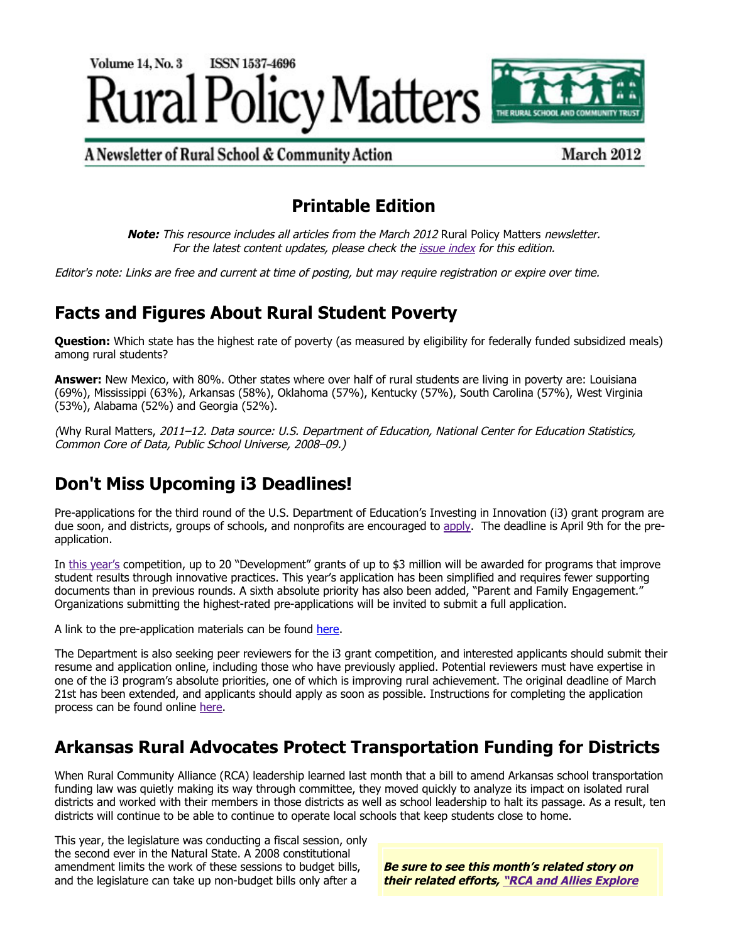

A Newsletter of Rural School & Community Action

March 2012

# **Printable Edition**

**Note:** This resource includes all articles from the March 2012 Rural Policy Matters newsletter. For the latest content updates, please check the [issue index](http://www.ruraledu.org/articles.php?id=2857) for this edition.

Editor's note: Links are free and current at time of posting, but may require registration or expire over time.

# **Facts and Figures About Rural Student Poverty**

**Question:** Which state has the highest rate of poverty (as measured by eligibility for federally funded subsidized meals) among rural students?

**Answer:** New Mexico, with 80%. Other states where over half of rural students are living in poverty are: Louisiana (69%), Mississippi (63%), Arkansas (58%), Oklahoma (57%), Kentucky (57%), South Carolina (57%), West Virginia (53%), Alabama (52%) and Georgia (52%).

(Why Rural Matters, 2011–12. Data source: U.S. Department of Education, National Center for Education Statistics, Common Core of Data, Public School Universe, 2008–09.)

# **Don't Miss Upcoming i3 Deadlines!**

Pre-applications for the third round of the U.S. Department of Education's Investing in Innovation (i3) grant program are due soon, and districts, groups of schools, and nonprofits are encouraged to [apply.](http://www.ed.gov/news/press-releases/department-launches-pre-application-2012-investing-innovation-development-applic) The deadline is April 9th for the preapplication.

In [this year's](http://www.ruraledu.org/articles.php?id=2853) competition, up to 20 "Development" grants of up to \$3 million will be awarded for programs that improve student results through innovative practices. This year's application has been simplified and requires fewer supporting documents than in previous rounds. A sixth absolute priority has also been added, "Parent and Family Engagement." Organizations submitting the highest-rated pre-applications will be invited to submit a full application.

A link to the pre-application materials can be found [here](http://www2.ed.gov/programs/innovation/applicant.html).

The Department is also seeking peer reviewers for the i3 grant competition, and interested applicants should submit their resume and application online, including those who have previously applied. Potential reviewers must have expertise in one of the i3 program's absolute priorities, one of which is improving rural achievement. The original deadline of March 21st has been extended, and applicants should apply as soon as possible. Instructions for completing the application process can be found online [here.](http://www2.ed.gov/programs/innovation/index.html)

# **Arkansas Rural Advocates Protect Transportation Funding for Districts**

When Rural Community Alliance (RCA) leadership learned last month that a bill to amend Arkansas school transportation funding law was quietly making its way through committee, they moved quickly to analyze its impact on isolated rural districts and worked with their members in those districts as well as school leadership to halt its passage. As a result, ten districts will continue to be able to continue to operate local schools that keep students close to home.

This year, the legislature was conducting a fiscal session, only the second ever in the Natural State. A 2008 constitutional amendment limits the work of these sessions to budget bills, and the legislature can take up non-budget bills only after a

**Be sure to see this month's related story on their related efforts, ["RCA and Allies Explore](#page-1-0)**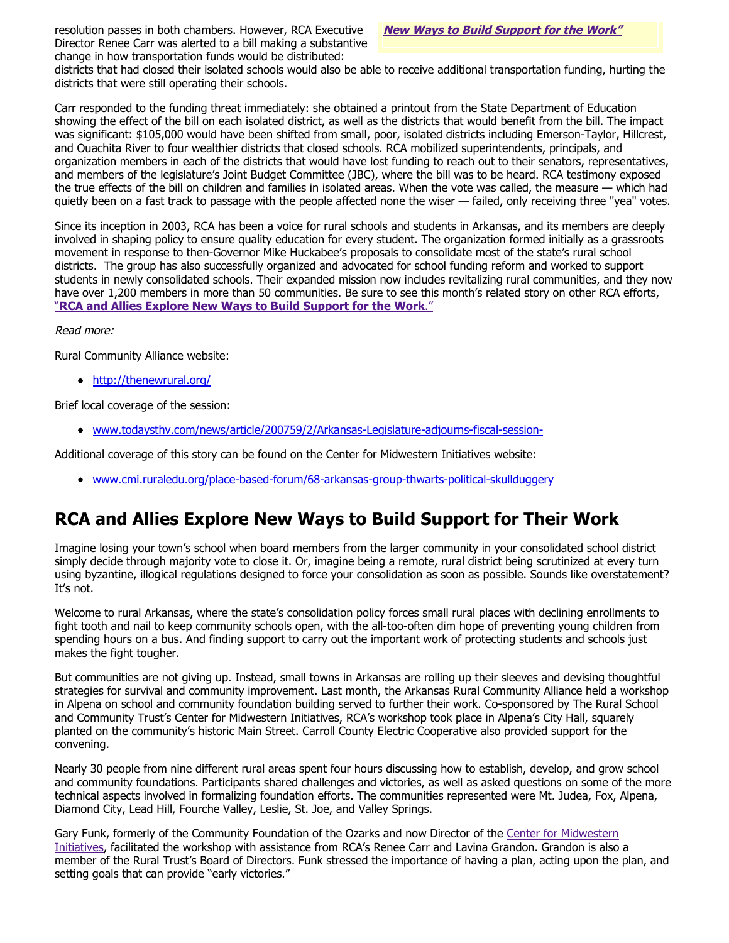resolution passes in both chambers. However, RCA Executive **[New Ways to Build Support for the Work"](#page-1-0)** Director Renee Carr was alerted to a bill making a substantive change in how transportation funds would be distributed:

districts that had closed their isolated schools would also be able to receive additional transportation funding, hurting the districts that were still operating their schools.

Carr responded to the funding threat immediately: she obtained a printout from the State Department of Education showing the effect of the bill on each isolated district, as well as the districts that would benefit from the bill. The impact was significant: \$105,000 would have been shifted from small, poor, isolated districts including Emerson-Taylor, Hillcrest, and Ouachita River to four wealthier districts that closed schools. RCA mobilized superintendents, principals, and organization members in each of the districts that would have lost funding to reach out to their senators, representatives, and members of the legislature's Joint Budget Committee (JBC), where the bill was to be heard. RCA testimony exposed the true effects of the bill on children and families in isolated areas. When the vote was called, the measure — which had quietly been on a fast track to passage with the people affected none the wiser — failed, only receiving three "yea" votes.

<span id="page-1-0"></span>Since its inception in 2003, RCA has been a voice for rural schools and students in Arkansas, and its members are deeply involved in shaping policy to ensure quality education for every student. The organization formed initially as a grassroots movement in response to then-Governor Mike Huckabee's proposals to consolidate most of the state's rural school districts. The group has also successfully organized and advocated for school funding reform and worked to support students in newly consolidated schools. Their expanded mission now includes revitalizing rural communities, and they now have over 1,200 members in more than 50 communities. Be sure to see this month's related story on other RCA efforts, "**[RCA and Allies Explore New Ways to Build Support for the Work](#page-1-0)**."

#### Read more:

Rural Community Alliance website:

• <http://thenewrural.org/>

Brief local coverage of the session:

[www.todaysthv.com/news/article/200759/2/Arkansas-Legislature-adjourns-fiscal-session-](http://www.todaysthv.com/news/article/200759/2/Arkansas-Legislature-adjourns-fiscal-session-)

Additional coverage of this story can be found on the Center for Midwestern Initiatives website:

[www.cmi.ruraledu.org/place-based-forum/68-arkansas-group-thwarts-political-skullduggery](http://www.cmi.ruraledu.org/place-based-forum/68-arkansas-group-thwarts-political-skullduggery)

# **RCA and Allies Explore New Ways to Build Support for Their Work**

Imagine losing your town's school when board members from the larger community in your consolidated school district simply decide through majority vote to close it. Or, imagine being a remote, rural district being scrutinized at every turn using byzantine, illogical regulations designed to force your consolidation as soon as possible. Sounds like overstatement? It's not.

Welcome to rural Arkansas, where the state's consolidation policy forces small rural places with declining enrollments to fight tooth and nail to keep community schools open, with the all-too-often dim hope of preventing young children from spending hours on a bus. And finding support to carry out the important work of protecting students and schools just makes the fight tougher.

But communities are not giving up. Instead, small towns in Arkansas are rolling up their sleeves and devising thoughtful strategies for survival and community improvement. Last month, the Arkansas Rural Community Alliance held a workshop in Alpena on school and community foundation building served to further their work. Co-sponsored by The Rural School and Community Trust's Center for Midwestern Initiatives, RCA's workshop took place in Alpena's City Hall, squarely planted on the community's historic Main Street. Carroll County Electric Cooperative also provided support for the convening.

Nearly 30 people from nine different rural areas spent four hours discussing how to establish, develop, and grow school and community foundations. Participants shared challenges and victories, as well as asked questions on some of the more technical aspects involved in formalizing foundation efforts. The communities represented were Mt. Judea, Fox, Alpena, Diamond City, Lead Hill, Fourche Valley, Leslie, St. Joe, and Valley Springs.

Gary Funk. formerly of the Community Foundation of the Ozarks and now Director of the Center for Midwestern [Initiatives, facilitated the workshop with assistance from RCA's Renee Carr and Lavina Grandon. Grandon is also](http://www.cmi.ruraledu.org/) a member of the Rural Trust's Board of Directors. Funk stressed the importance of having a plan, acting upon the plan, and setting goals that can provide "early victories."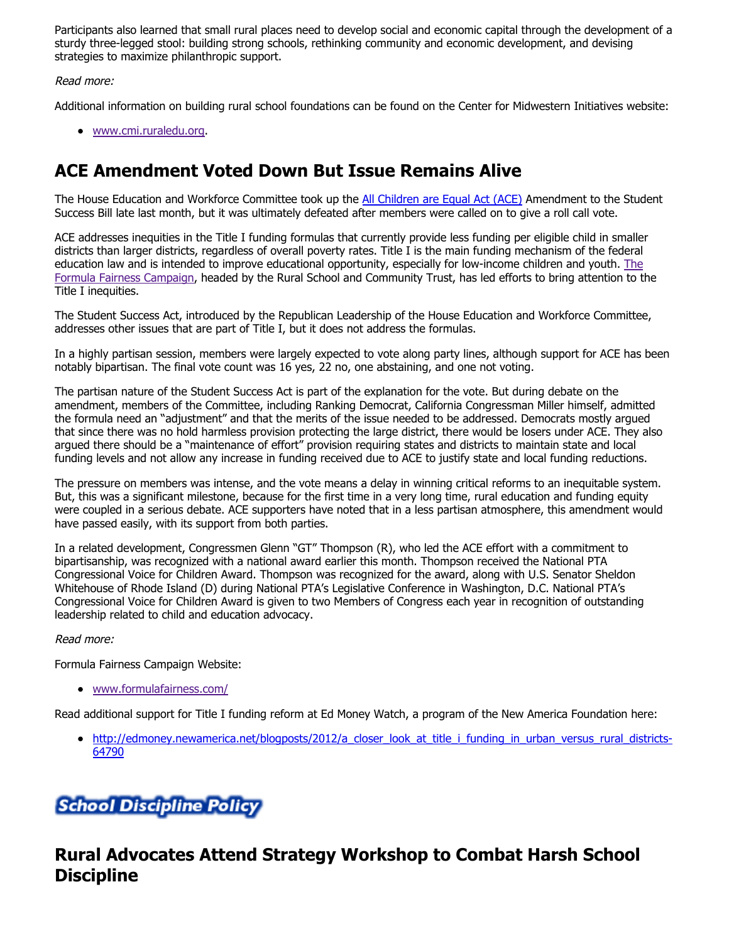Participants also learned that small rural places need to develop social and economic capital through the development of a sturdy three-legged stool: building strong schools, rethinking community and economic development, and devising strategies to maximize philanthropic support.

#### Read more:

Additional information on building rural school foundations can be found on the Center for Midwestern Initiatives website:

[www.cmi.ruraledu.org.](http://www.cmi.ruraledu.org/)

# **ACE Amendment Voted Down But Issue Remains Alive**

The House Education and Workforce Committee took up the [All Children are Equal Act \(ACE\)](http://edworkforce.house.gov/UploadedFiles/The_Student_Success_Act_Summary.pdf) Amendment to the Student Success Bill late last month, but it was ultimately defeated after members were called on to give a roll call vote.

ACE addresses inequities in the Title I funding formulas that currently provide less funding per eligible child in smaller districts than larger districts, regardless of overall poverty rates. Title I is the main funding mechanism of the federal [education law and is intended to improve educational opportunity, especially for low-income children and youth. The](http://www.formulafairness.com/) Formula Fairness Campaign, headed by the Rural School and Community Trust, has led efforts to bring attention to the Title I inequities.

The Student Success Act, introduced by the Republican Leadership of the House Education and Workforce Committee, addresses other issues that are part of Title I, but it does not address the formulas.

In a highly partisan session, members were largely expected to vote along party lines, although support for ACE has been notably bipartisan. The final vote count was 16 yes, 22 no, one abstaining, and one not voting.

The partisan nature of the Student Success Act is part of the explanation for the vote. But during debate on the amendment, members of the Committee, including Ranking Democrat, California Congressman Miller himself, admitted the formula need an "adjustment" and that the merits of the issue needed to be addressed. Democrats mostly argued that since there was no hold harmless provision protecting the large district, there would be losers under ACE. They also argued there should be a "maintenance of effort" provision requiring states and districts to maintain state and local funding levels and not allow any increase in funding received due to ACE to justify state and local funding reductions.

The pressure on members was intense, and the vote means a delay in winning critical reforms to an inequitable system. But, this was a significant milestone, because for the first time in a very long time, rural education and funding equity were coupled in a serious debate. ACE supporters have noted that in a less partisan atmosphere, this amendment would have passed easily, with its support from both parties.

In a related development, Congressmen Glenn "GT" Thompson (R), who led the ACE effort with a commitment to bipartisanship, was recognized with a national award earlier this month. Thompson received the National PTA Congressional Voice for Children Award. Thompson was recognized for the award, along with U.S. Senator Sheldon Whitehouse of Rhode Island (D) during National PTA's Legislative Conference in Washington, D.C. National PTA's Congressional Voice for Children Award is given to two Members of Congress each year in recognition of outstanding leadership related to child and education advocacy.

#### Read more:

Formula Fairness Campaign Website:

[www.formulafairness.com/](http://www.formulafairness.com/)

Read additional support for Title I funding reform at Ed Money Watch, a program of the New America Foundation here:

[http://edmoney.newamerica.net/blogposts/2012/a\\_closer\\_look\\_at\\_title\\_i\\_funding\\_in\\_urban\\_versus\\_rural\\_districts-](http://edmoney.newamerica.net/blogposts/2012/a_closer_look_at_title_i_funding_in_urban_versus_rural_districts-64790)64790

# **School Discipline Policy**

### **Rural Advocates Attend Strategy Workshop to Combat Harsh School Discipline**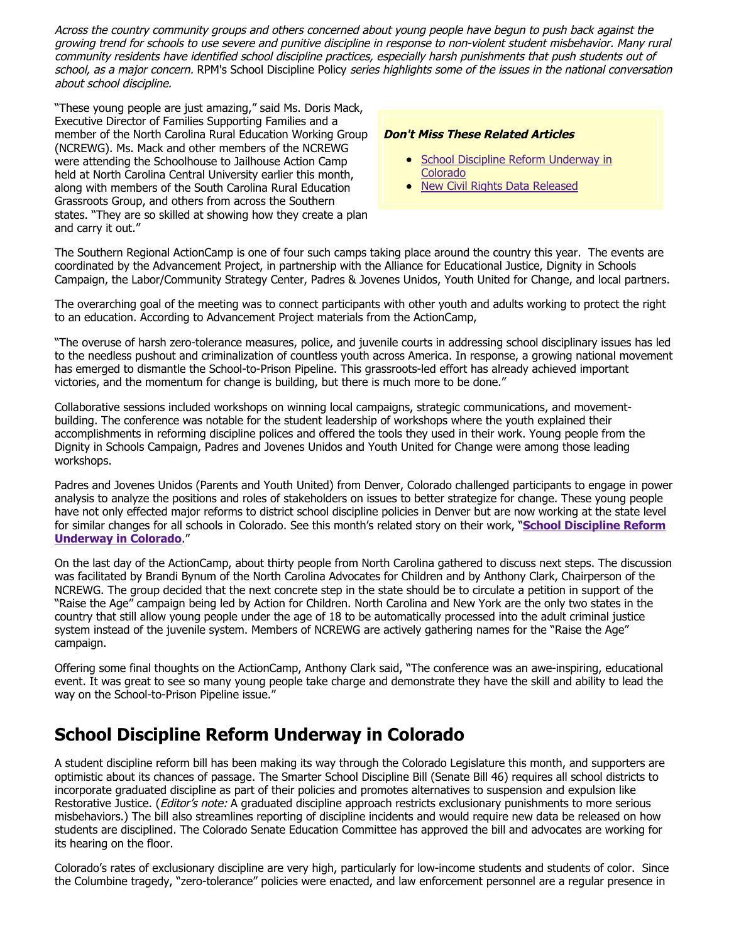Across the country community groups and others concerned about young people have begun to push back against the growing trend for schools to use severe and punitive discipline in response to non-violent student misbehavior. Many rural community residents have identified school discipline practices, especially harsh punishments that push students out of school, as a major concern. RPM's School Discipline Policy series highlights some of the issues in the national conversation about school discipline.

"These young people are just amazing," said Ms. Doris Mack, Executive Director of Families Supporting Families and a member of the North Carolina Rural Education Working Group (NCREWG). Ms. Mack and other members of the NCREWG were attending the Schoolhouse to Jailhouse Action Camp held at North Carolina Central University earlier this month, along with members of the South Carolina Rural Education Grassroots Group, and others from across the Southern states. "They are so skilled at showing how they create a plan and carry it out."

#### **Don't Miss These Related Articles**

- [School Discipline Reform Underway in](#page-3-0) Colorado
- [New Civil Rights Data Released](#page-4-0)

The Southern Regional ActionCamp is one of four such camps taking place around the country this year. The events are coordinated by the Advancement Project, in partnership with the Alliance for Educational Justice, Dignity in Schools Campaign, the Labor/Community Strategy Center, Padres & Jovenes Unidos, Youth United for Change, and local partners.

The overarching goal of the meeting was to connect participants with other youth and adults working to protect the right to an education. According to Advancement Project materials from the ActionCamp,

"The overuse of harsh zero-tolerance measures, police, and juvenile courts in addressing school disciplinary issues has led to the needless pushout and criminalization of countless youth across America. In response, a growing national movement has emerged to dismantle the School-to-Prison Pipeline. This grassroots-led effort has already achieved important victories, and the momentum for change is building, but there is much more to be done."

<span id="page-3-0"></span>Collaborative sessions included workshops on winning local campaigns, strategic communications, and movementbuilding. The conference was notable for the student leadership of workshops where the youth explained their accomplishments in reforming discipline polices and offered the tools they used in their work. Young people from the Dignity in Schools Campaign, Padres and Jovenes Unidos and Youth United for Change were among those leading workshops.

Padres and Jovenes Unidos (Parents and Youth United) from Denver, Colorado challenged participants to engage in power analysis to analyze the positions and roles of stakeholders on issues to better strategize for change. These young people have not only effected major reforms to district school discipline policies in Denver but are now working at the state level for similar changes for all schools in Colorado. See this month's related story on their work, "**[School Discipline Reform](#page-3-0) [Underway in Colorado](#page-3-0)**."

On the last day of the ActionCamp, about thirty people from North Carolina gathered to discuss next steps. The discussion was facilitated by Brandi Bynum of the North Carolina Advocates for Children and by Anthony Clark, Chairperson of the NCREWG. The group decided that the next concrete step in the state should be to circulate a petition in support of the "Raise the Age" campaign being led by Action for Children. North Carolina and New York are the only two states in the country that still allow young people under the age of 18 to be automatically processed into the adult criminal justice system instead of the juvenile system. Members of NCREWG are actively gathering names for the "Raise the Age" campaign.

Offering some final thoughts on the ActionCamp, Anthony Clark said, "The conference was an awe-inspiring, educational event. It was great to see so many young people take charge and demonstrate they have the skill and ability to lead the way on the School-to-Prison Pipeline issue."

### **School Discipline Reform Underway in Colorado**

A student discipline reform bill has been making its way through the Colorado Legislature this month, and supporters are optimistic about its chances of passage. The Smarter School Discipline Bill (Senate Bill 46) requires all school districts to incorporate graduated discipline as part of their policies and promotes alternatives to suspension and expulsion like Restorative Justice. (*Editor's note:* A graduated discipline approach restricts exclusionary punishments to more serious misbehaviors.) The bill also streamlines reporting of discipline incidents and would require new data be released on how students are disciplined. The Colorado Senate Education Committee has approved the bill and advocates are working for its hearing on the floor.

Colorado's rates of exclusionary discipline are very high, particularly for low-income students and students of color. Since the Columbine tragedy, "zero-tolerance" policies were enacted, and law enforcement personnel are a regular presence in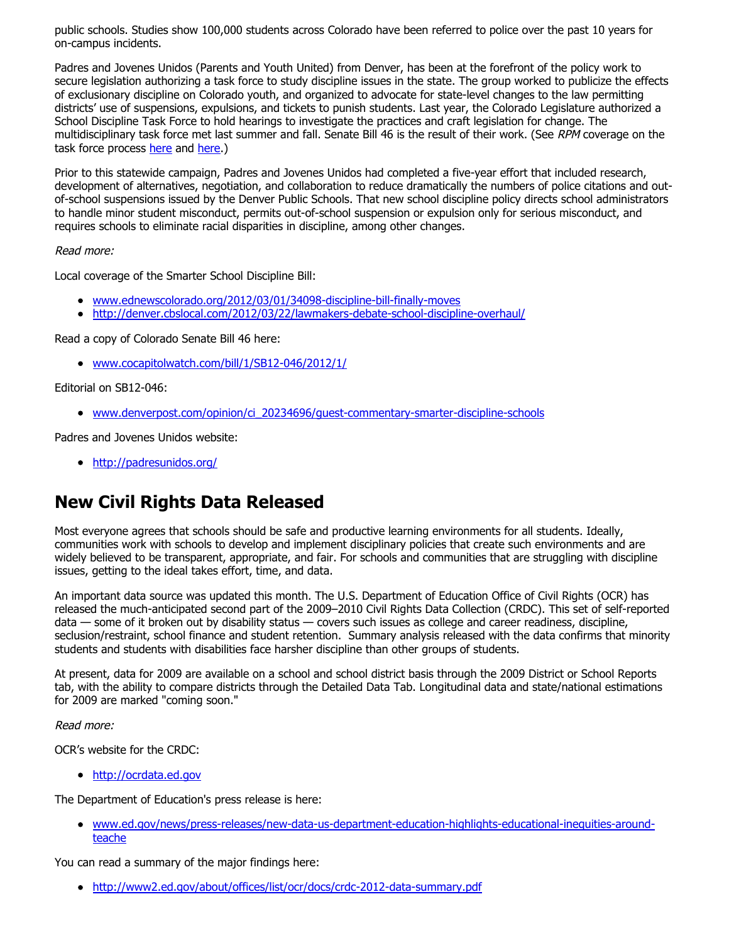public schools. Studies show 100,000 students across Colorado have been referred to police over the past 10 years for on-campus incidents.

Padres and Jovenes Unidos (Parents and Youth United) from Denver, has been at the forefront of the policy work to secure legislation authorizing a task force to study discipline issues in the state. The group worked to publicize the effects of exclusionary discipline on Colorado youth, and organized to advocate for state-level changes to the law permitting districts' use of suspensions, expulsions, and tickets to punish students. Last year, the Colorado Legislature authorized a School Discipline Task Force to hold hearings to investigate the practices and craft legislation for change. The multidisciplinary task force met last summer and fall. Senate Bill 46 is the result of their work. (See RPM coverage on the task force process [here](http://www.ruraledu.org/articles.php?id=2789) and [here](http://www.ruraledu.org/articles.php?id=2724).)

Prior to this statewide campaign, Padres and Jovenes Unidos had completed a five-year effort that included research, development of alternatives, negotiation, and collaboration to reduce dramatically the numbers of police citations and outof-school suspensions issued by the Denver Public Schools. That new school discipline policy directs school administrators to handle minor student misconduct, permits out-of-school suspension or expulsion only for serious misconduct, and requires schools to eliminate racial disparities in discipline, among other changes.

#### <span id="page-4-0"></span>Read more:

Local coverage of the Smarter School Discipline Bill:

- [www.ednewscolorado.org/2012/03/01/34098-discipline-bill-finally-moves](http://www.ednewscolorado.org/2012/03/01/34098-discipline-bill-finally-moves)
- <http://denver.cbslocal.com/2012/03/22/lawmakers-debate-school-discipline-overhaul/>

Read a copy of Colorado Senate Bill 46 here:

[www.cocapitolwatch.com/bill/1/SB12-046/2012/1/](http://www.cocapitolwatch.com/bill/1/SB12-046/2012/1/)

Editorial on SB12-046:

[www.denverpost.com/opinion/ci\\_20234696/guest-commentary-smarter-discipline-schools](http://www.denverpost.com/opinion/ci_20234696/guest-commentary-smarter-discipline-schools)

Padres and Jovenes Unidos website:

<http://padresunidos.org/>

# **New Civil Rights Data Released**

Most everyone agrees that schools should be safe and productive learning environments for all students. Ideally, communities work with schools to develop and implement disciplinary policies that create such environments and are widely believed to be transparent, appropriate, and fair. For schools and communities that are struggling with discipline issues, getting to the ideal takes effort, time, and data.

An important data source was updated this month. The U.S. Department of Education Office of Civil Rights (OCR) has released the much-anticipated second part of the 2009–2010 Civil Rights Data Collection (CRDC). This set of self-reported data — some of it broken out by disability status — covers such issues as college and career readiness, discipline, seclusion/restraint, school finance and student retention. Summary analysis released with the data confirms that minority students and students with disabilities face harsher discipline than other groups of students.

At present, data for 2009 are available on a school and school district basis through the 2009 District or School Reports tab, with the ability to compare districts through the Detailed Data Tab. Longitudinal data and state/national estimations for 2009 are marked "coming soon."

Read more:

OCR's website for the CRDC:

[http://ocrdata.ed.gov](http://ocrdata.ed.gov/)

The Department of Education's press release is here:

[www.ed.gov/news/press-releases/new-data-us-department-education-highlights-educational-inequities-around](http://www.ed.gov/news/press-releases/new-data-us-department-education-highlights-educational-inequities-around-teache)teache

You can read a summary of the major findings here:

<http://www2.ed.gov/about/offices/list/ocr/docs/crdc-2012-data-summary.pdf>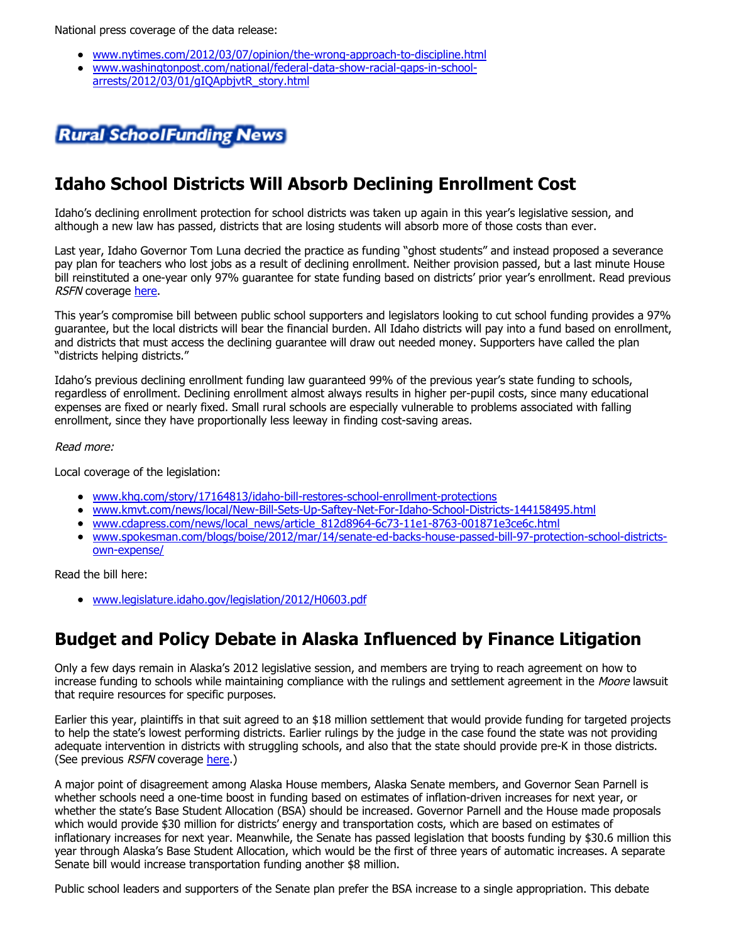National press coverage of the data release:

- [www.nytimes.com/2012/03/07/opinion/the-wrong-approach-to-discipline.html](http://www.nytimes.com/2012/03/07/opinion/the-wrong-approach-to-discipline.html)
- [www.washingtonpost.com/national/federal-data-show-racial-gaps-in-school](http://www.washingtonpost.com/national/federal-data-show-racial-gaps-in-school-arrests/2012/03/01/gIQApbjvtR_story.html)arrests/2012/03/01/gIQApbjvtR\_story.html



### **Idaho School Districts Will Absorb Declining Enrollment Cost**

Idaho's declining enrollment protection for school districts was taken up again in this year's legislative session, and although a new law has passed, districts that are losing students will absorb more of those costs than ever.

Last year, Idaho Governor Tom Luna decried the practice as funding "ghost students" and instead proposed a severance pay plan for teachers who lost jobs as a result of declining enrollment. Neither provision passed, but a last minute House bill reinstituted a one-year only 97% guarantee for state funding based on districts' prior year's enrollment. Read previous RSFN coverage [here.](http://www.ruraledu.org/articles.php?id=2708)

This year's compromise bill between public school supporters and legislators looking to cut school funding provides a 97% guarantee, but the local districts will bear the financial burden. All Idaho districts will pay into a fund based on enrollment, and districts that must access the declining guarantee will draw out needed money. Supporters have called the plan "districts helping districts."

Idaho's previous declining enrollment funding law guaranteed 99% of the previous year's state funding to schools, regardless of enrollment. Declining enrollment almost always results in higher per-pupil costs, since many educational expenses are fixed or nearly fixed. Small rural schools are especially vulnerable to problems associated with falling enrollment, since they have proportionally less leeway in finding cost-saving areas.

#### Read more:

Local coverage of the legislation:

- [www.khq.com/story/17164813/idaho-bill-restores-school-enrollment-protections](http://www.khq.com/story/17164813/idaho-bill-restores-school-enrollment-protections)
- [www.kmvt.com/news/local/New-Bill-Sets-Up-Saftey-Net-For-Idaho-School-Districts-144158495.html](http://www.kmvt.com/news/local/New-Bill-Sets-Up-Saftey-Net-For-Idaho-School-Districts-144158495.html)
- [www.cdapress.com/news/local\\_news/article\\_812d8964-6c73-11e1-8763-001871e3ce6c.html](http://www.cdapress.com/news/local_news/article_812d8964-6c73-11e1-8763-001871e3ce6c.html)
- [www.spokesman.com/blogs/boise/2012/mar/14/senate-ed-backs-house-passed-bill-97-protection-school-districts](http://www.spokesman.com/blogs/boise/2012/mar/14/senate-ed-backs-house-passed-bill-97-protection-school-districts-own-expense/)own-expense/

Read the bill here:

[www.legislature.idaho.gov/legislation/2012/H0603.pdf](http://www.legislature.idaho.gov/legislation/2012/H0603.pdf)

### **Budget and Policy Debate in Alaska Influenced by Finance Litigation**

Only a few days remain in Alaska's 2012 legislative session, and members are trying to reach agreement on how to increase funding to schools while maintaining compliance with the rulings and settlement agreement in the Moore lawsuit that require resources for specific purposes.

Earlier this year, plaintiffs in that suit agreed to an \$18 million settlement that would provide funding for targeted projects to help the state's lowest performing districts. Earlier rulings by the judge in the case found the state was not providing adequate intervention in districts with struggling schools, and also that the state should provide pre-K in those districts. (See previous RSFN coverage [here.](http://www.ruraledu.org/articles.php?id=2850))

A major point of disagreement among Alaska House members, Alaska Senate members, and Governor Sean Parnell is whether schools need a one-time boost in funding based on estimates of inflation-driven increases for next year, or whether the state's Base Student Allocation (BSA) should be increased. Governor Parnell and the House made proposals which would provide \$30 million for districts' energy and transportation costs, which are based on estimates of inflationary increases for next year. Meanwhile, the Senate has passed legislation that boosts funding by \$30.6 million this year through Alaska's Base Student Allocation, which would be the first of three years of automatic increases. A separate Senate bill would increase transportation funding another \$8 million.

Public school leaders and supporters of the Senate plan prefer the BSA increase to a single appropriation. This debate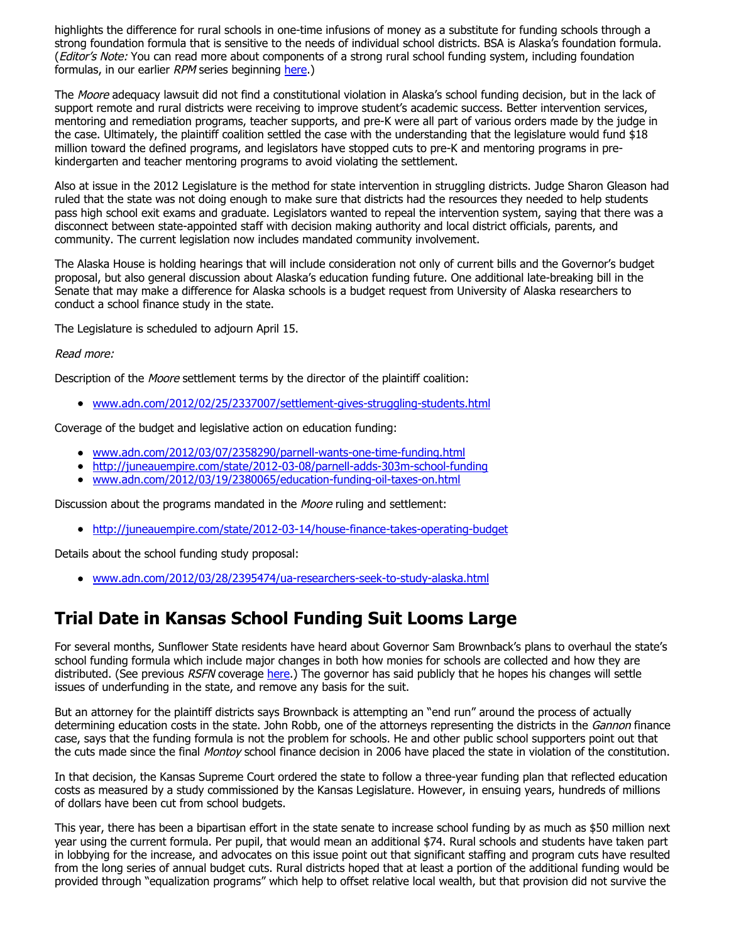highlights the difference for rural schools in one-time infusions of money as a substitute for funding schools through a strong foundation formula that is sensitive to the needs of individual school districts. BSA is Alaska's foundation formula. (Editor's Note: You can read more about components of a strong rural school funding system, including foundation formulas, in our earlier RPM series beginning [here.](http://www.ruraledu.org/articles.php?id=2467))

The Moore adequacy lawsuit did not find a constitutional violation in Alaska's school funding decision, but in the lack of support remote and rural districts were receiving to improve student's academic success. Better intervention services, mentoring and remediation programs, teacher supports, and pre-K were all part of various orders made by the judge in the case. Ultimately, the plaintiff coalition settled the case with the understanding that the legislature would fund \$18 million toward the defined programs, and legislators have stopped cuts to pre-K and mentoring programs in prekindergarten and teacher mentoring programs to avoid violating the settlement.

Also at issue in the 2012 Legislature is the method for state intervention in struggling districts. Judge Sharon Gleason had ruled that the state was not doing enough to make sure that districts had the resources they needed to help students pass high school exit exams and graduate. Legislators wanted to repeal the intervention system, saying that there was a disconnect between state-appointed staff with decision making authority and local district officials, parents, and community. The current legislation now includes mandated community involvement.

The Alaska House is holding hearings that will include consideration not only of current bills and the Governor's budget proposal, but also general discussion about Alaska's education funding future. One additional late-breaking bill in the Senate that may make a difference for Alaska schools is a budget request from University of Alaska researchers to conduct a school finance study in the state.

The Legislature is scheduled to adjourn April 15.

#### Read more:

Description of the Moore settlement terms by the director of the plaintiff coalition:

[www.adn.com/2012/02/25/2337007/settlement-gives-struggling-students.html](http://www.adn.com/2012/02/25/2337007/settlement-gives-struggling-students.html)

Coverage of the budget and legislative action on education funding:

- [www.adn.com/2012/03/07/2358290/parnell-wants-one-time-funding.html](http://www.adn.com/2012/03/07/2358290/parnell-wants-one-time-funding.html)
- <http://juneauempire.com/state/2012-03-08/parnell-adds-303m-school-funding>
- [www.adn.com/2012/03/19/2380065/education-funding-oil-taxes-on.html](http://www.adn.com/2012/03/19/2380065/education-funding-oil-taxes-on.html)

Discussion about the programs mandated in the Moore ruling and settlement:

<http://juneauempire.com/state/2012-03-14/house-finance-takes-operating-budget>

Details about the school funding study proposal:

[www.adn.com/2012/03/28/2395474/ua-researchers-seek-to-study-alaska.html](http://www.adn.com/2012/03/28/2395474/ua-researchers-seek-to-study-alaska.html)

### **Trial Date in Kansas School Funding Suit Looms Large**

For several months, Sunflower State residents have heard about Governor Sam Brownback's plans to overhaul the state's school funding formula which include major changes in both how monies for schools are collected and how they are distributed. (See previous RSFN coverage [here.](http://www.ruraledu.org/articles.php?id=2810)) The governor has said publicly that he hopes his changes will settle issues of underfunding in the state, and remove any basis for the suit.

But an attorney for the plaintiff districts says Brownback is attempting an "end run" around the process of actually determining education costs in the state. John Robb, one of the attorneys representing the districts in the Gannon finance case, says that the funding formula is not the problem for schools. He and other public school supporters point out that the cuts made since the final Montoy school finance decision in 2006 have placed the state in violation of the constitution.

In that decision, the Kansas Supreme Court ordered the state to follow a three-year funding plan that reflected education costs as measured by a study commissioned by the Kansas Legislature. However, in ensuing years, hundreds of millions of dollars have been cut from school budgets.

This year, there has been a bipartisan effort in the state senate to increase school funding by as much as \$50 million next year using the current formula. Per pupil, that would mean an additional \$74. Rural schools and students have taken part in lobbying for the increase, and advocates on this issue point out that significant staffing and program cuts have resulted from the long series of annual budget cuts. Rural districts hoped that at least a portion of the additional funding would be provided through "equalization programs" which help to offset relative local wealth, but that provision did not survive the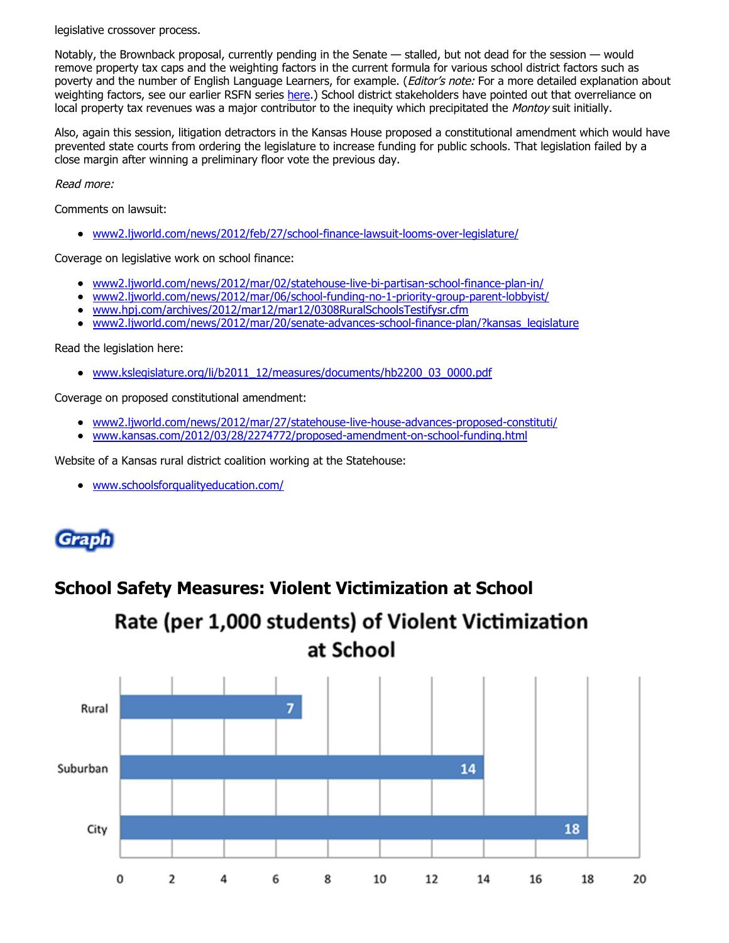legislative crossover process.

Notably, the Brownback proposal, currently pending in the Senate — stalled, but not dead for the session — would remove property tax caps and the weighting factors in the current formula for various school district factors such as poverty and the number of English Language Learners, for example. (Editor's note: For a more detailed explanation about weighting factors, see our earlier RSFN series [here.](http://www.ruraledu.org/articles.php?id=2657)) School district stakeholders have pointed out that overreliance on local property tax revenues was a major contributor to the inequity which precipitated the Montoy suit initially.

Also, again this session, litigation detractors in the Kansas House proposed a constitutional amendment which would have prevented state courts from ordering the legislature to increase funding for public schools. That legislation failed by a close margin after winning a preliminary floor vote the previous day.

Read more:

Comments on lawsuit:

[www2.ljworld.com/news/2012/feb/27/school-finance-lawsuit-looms-over-legislature/](http://www2.ljworld.com/news/2012/feb/27/school-finance-lawsuit-looms-over-legislature/)

Coverage on legislative work on school finance:

- [www2.ljworld.com/news/2012/mar/02/statehouse-live-bi-partisan-school-finance-plan-in/](http://www2.ljworld.com/news/2012/mar/02/statehouse-live-bi-partisan-school-finance-plan-in/)
- [www2.ljworld.com/news/2012/mar/06/school-funding-no-1-priority-group-parent-lobbyist/](http://www2.ljworld.com/news/2012/mar/06/school-funding-no-1-priority-group-parent-lobbyist/)
- [www.hpj.com/archives/2012/mar12/mar12/0308RuralSchoolsTestifysr.cfm](http://www.hpj.com/archives/2012/mar12/mar12/0308RuralSchoolsTestifysr.cfm)
- [www2.ljworld.com/news/2012/mar/20/senate-advances-school-finance-plan/?kansas\\_legislature](http://www2.ljworld.com/news/2012/mar/20/senate-advances-school-finance-plan/?kansas_legislature)

#### Read the legislation here:

[www.kslegislature.org/li/b2011\\_12/measures/documents/hb2200\\_03\\_0000.pdf](http://www.kslegislature.org/li/b2011_12/measures/documents/hb2200_03_0000.pdf)

Coverage on proposed constitutional amendment:

- [www2.ljworld.com/news/2012/mar/27/statehouse-live-house-advances-proposed-constituti/](http://www2.ljworld.com/news/2012/mar/27/statehouse-live-house-advances-proposed-constituti/)
- [www.kansas.com/2012/03/28/2274772/proposed-amendment-on-school-funding.html](http://www.kansas.com/2012/03/28/2274772/proposed-amendment-on-school-funding.html)

Website of a Kansas rural district coalition working at the Statehouse:

[www.schoolsforqualityeducation.com/](http://www.schoolsforqualityeducation.com/)

# Grap

### **School Safety Measures: Violent Victimization at School**

# Rate (per 1,000 students) of Violent Victimization at School